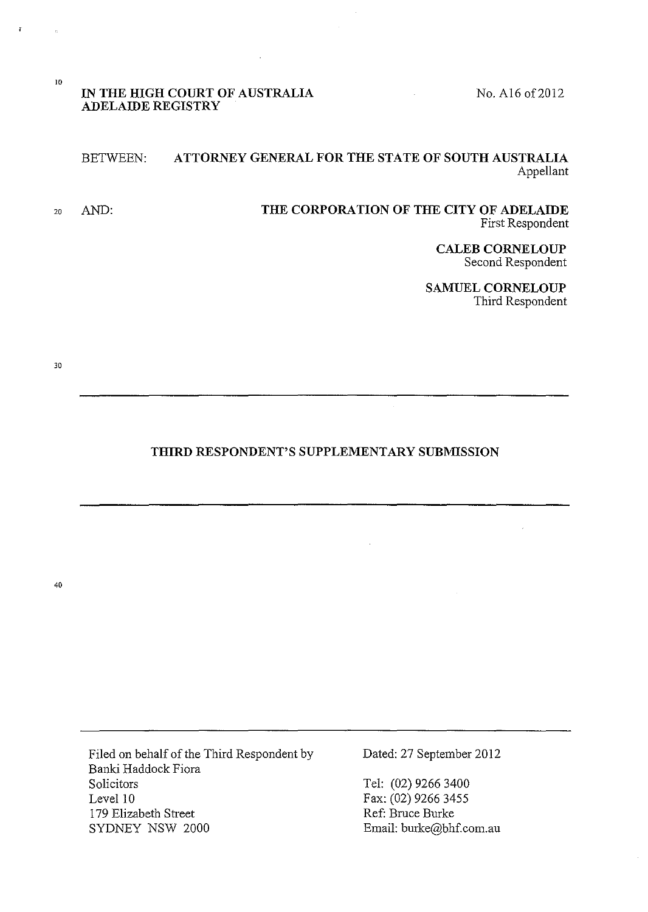No. A16 of 2012

### **IN THE HIGH COURT OF AUSTRALIA ADELAIDE REGISTRY**

## BETWEEN: **ATTORNEY GENERAL FOR THE STATE OF SOUTH AUSTRALIA**  Appellant

20 AND: **THE CORPORATION OF THE CITY OF ADELAIDE**  First Respondent

> **CALEB CORNELOUP**  Second Respondent

**SAMUEL CORNELOUP**  Third Respondent

30

10

# **THIRD RESPONDENT'S SUPPLEMENTARY SUBMISSION**

40

Filed on behalf of the Third Respondent by Banki Haddock Fiora Solicitors Level 10 179 Elizabeth Street SYDNEY NSW 2000

Dated: 27 September 2012

Tel: (02) 9266 3400 Fax: (02) 9266 3455 Ref: Bruce Burke Email: burke@bhf.com.au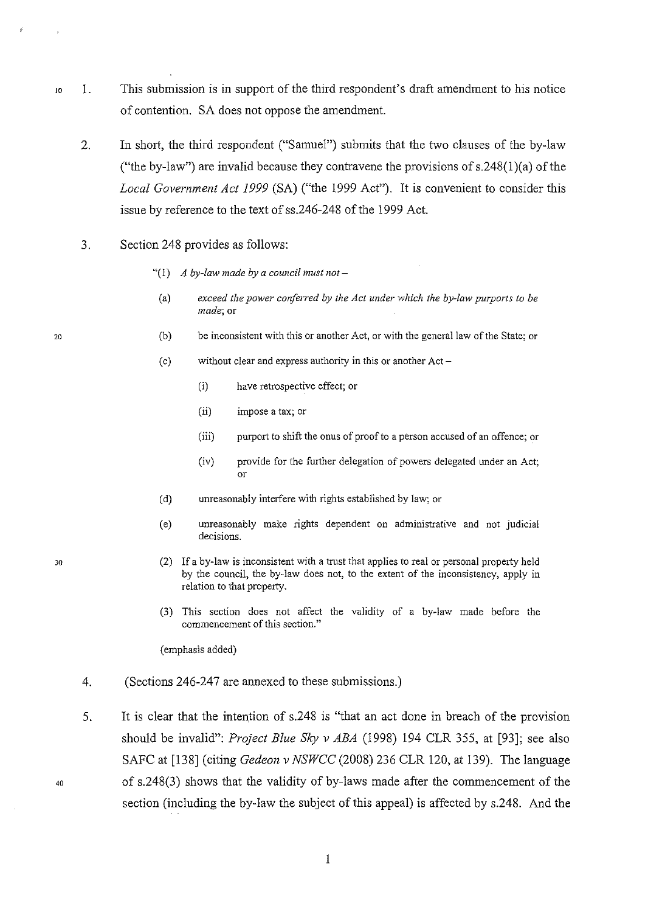- 10 1. This submission is in support of the third respondent's draft amendment to his notice of contention. SA does not oppose the amendment.
	- 2. In short, the third respondent ("Samuel") submits that the two clauses of the by-law ("the by-law") are invalid because they contravene the provisions of  $s.248(1)(a)$  of the *Local Government Act 1999* (SA) ("the 1999 Act"). It is convenient to consider this issue by reference to the text of ss.246-248 of the 1999 Act.
	- 3. Section 248 provides as follows:
		- "(!) *A by-law made by a council must not-*
		- (a) *exceed the power conferred by the Act under which the by-law purports to be made;* **or**
		- (b) be inconsistent with this or another Act, or with the general law of the State; or
		- (c) without clear and express authority in this or another Act-
			- (i) have retrospective effect; or
			- (ii) impose a tax; or
			- (iii) purport to shift the onus of proof to a person accused of an offence; or
			- (iv) provide for the further delegation of powers delegated under an Act; or
		- (d) unreasonably interfere with rights established by law; or
		- (e) unreasonably make rights dependent on administrative and not judicial **decisions.**
		- (2) If a by-law is inconsistent with a trust that applies to real or personal property held by the council, the by-law does not, to the extent of the inconsistency, apply in relation to that property.
		- (3) This section does not affect the validity of a by-law made before the **commencement of this section."**

(emphasis added)

- 4. (Sections 246-247 are annexed to these submissions.)
- 5. It is clear that the intention of s.248 is "that an act done in breach of the provision should be invalid": *Project Blue Sky v ABA* (1998) 194 CLR 355, at [93]; see also SAFC at [138] (citing *Gedeon v NSWCC* (2008) 236 CLR 120, at 139). The language of s.248(3) shows that the validity of by-laws made after the commencement of the section (including the by-law the subject of this appeal) is affected by s.248. And the

20

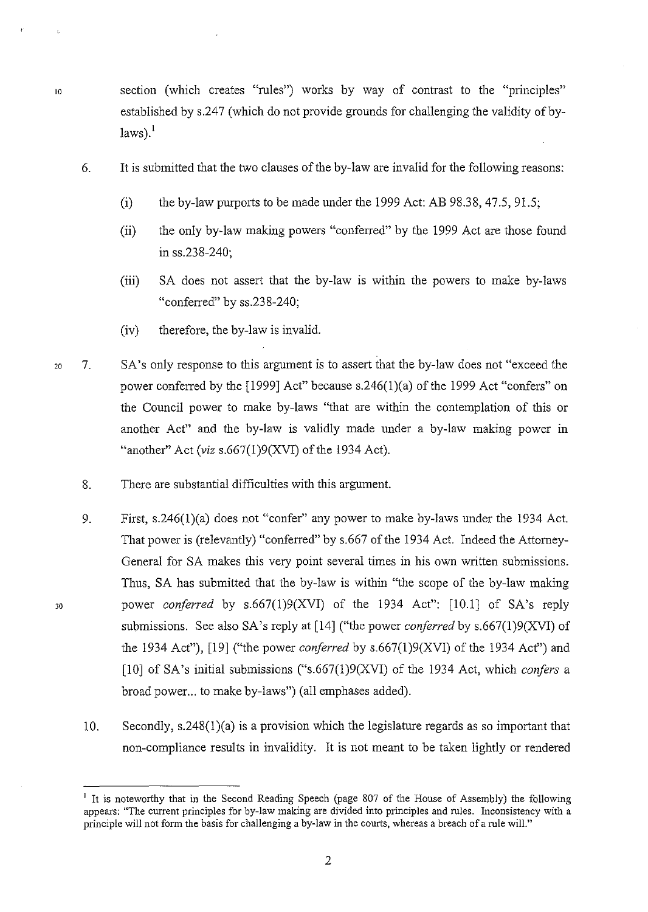- 10 section (which creates "rules") works by way of contrast to the "principles" established by s.247 (which do not provide grounds for challenging the validity of by $laws$ <sup>1</sup>
	- 6. It is submitted that the two clauses of the by-law are invalid for the following reasons:
		- (i) the by-law purports to be made under the 1999 Act: AB 98.38, 47.5, 91.5;
		- (ii) the only by-law making powers "conferred" by the 1999 Act are those found in ss.238-240;
		- (iii) SA does not assert that the by-law is within the powers to make by-laws "conferred" by ss.238-240;
		- (iv) therefore, the by-law is invalid.
- 20 7. SA's only response to this argument is to assert that the by-law does not "exceed the power conferred by the [1999] Act" because s.246(1)(a) of the 1999 Act "confers" on the Council power to make by-laws "that are within the contemplation of this or another Act" and the by-law is validly made under a by-law making power in "another" Act *(viz* s.667(1)9(XVI) of the 1934 Act).
	- 8. There are substantial difficulties with this argument.

- 9. First, s.246(1)(a) does not "confer" any power to make by-laws under the 1934 Act. That power is (relevantly) "conferred" by s.667 of the 1934 Act. Indeed the Attorney-General for SA makes this very point several times in his own written submissions. Thus, SA has submitted that the by-law is within "the scope of the by-law making power *conferred* by s.667(1)9(XVI) of the 1934 Act": [10.1] of SA's reply submissions. See also SA's reply at [14] ("the power *conferred* by s.667(1)9(XVI) of the 1934 Act"), [19] ("the power *coriferred* by s.667(1)9(XVI) of the 1934 Act") and [10] of SA's initial submissions ("s.667(1)9(XVI) of the 1934 Act, which *confers* a broad power... to make by-laws") (all emphases added).
- 10. Secondly, s.248(1)(a) is a provision which the legislature regards as so important that non-compliance results in invalidity. It is not meant to be taken lightly or rendered

<sup>&</sup>lt;sup>1</sup> It is noteworthy that in the Second Reading Speech (page 807 of the House of Assembly) the following appears: "The current principles for by-law making are divided into principles and rules. Inconsistency with a principle will not form the basis for challenging a by-law in the courts, whereas a breach of a rule wilL"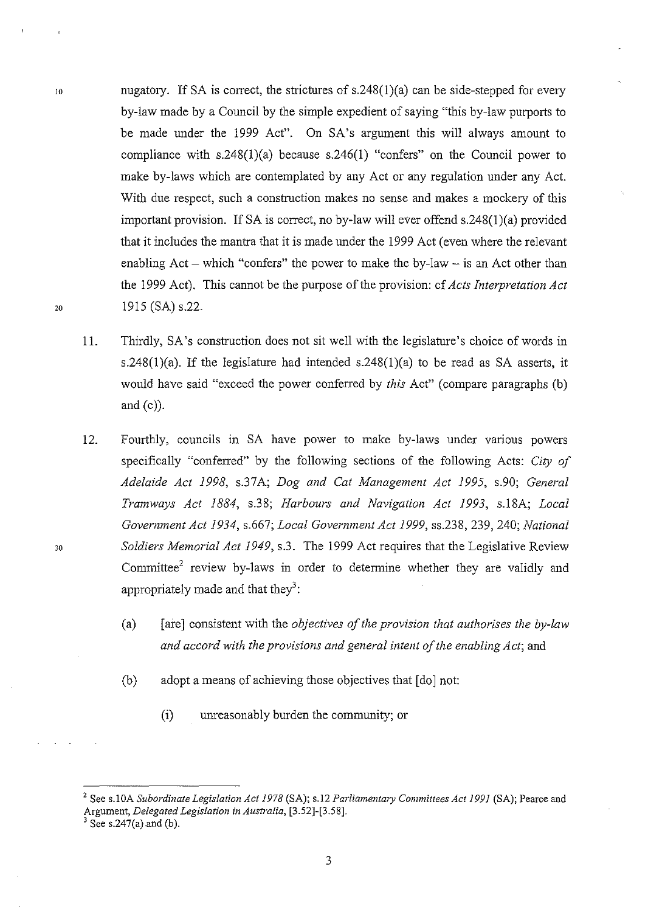- nugatory. If SA is correct, the strictures of  $s.248(1)(a)$  can be side-stepped for every by-law made by a Council by the simple expedient of saying "this by-law purports to be made under the 1999 Act". On SA's argument this will always amount to compliance with  $s.248(1)(a)$  because  $s.246(1)$  "confers" on the Council power to make by-laws which are contemplated by any Act or any regulation under any Act. With due respect, such a construction makes no sense and makes a mockery of this important provision. If SA is correct, no by-law will ever offend s.248(1)(a) provided that it includes the mantra that it is made under the 1999 Act (even where the relevant enabling  $Act - which$  "confers" the power to make the by-law  $-$  is an Act other than the 1999 Act). This cannot be the purpose of the provision: cf *Acts Interpretation Act*  1915 (SA) s.22.
	- 11. Thirdly, SA's construction does not sit well with the legislature's choice of words in s.248(1)(a). If the legislature had intended s.248(1)(a) to be read as SA asserts, it would have said "exceed the power conferred by *this* Act" (compare paragraphs (b) and  $(c)$ ).
	- 12. Fourthly, councils in SA have power to make by-laws under vanous powers specifically "conferred" by the following sections of the following Acts: *City of Adelaide Act 1998,* s.37A; *Dog and Cat Management Act 1995,* s.90; *General Tramways Act 1884,* s.38; *Harbours and Navigation Act 1993,* s.l8A; *Local Government Act 1934,* s.667; *Local Government Act 1999,* ss.238, 239, 240; *National Soldiers Memorial Act 1949,* s.3. The 1999 Act requires that the Legislative Review Committee<sup>2</sup> review by-laws in order to determine whether they are validly and appropriately made and that they<sup>3</sup>:
		- (a) [are] consistent with the *objectives of the provision that authorises the by-law and accord with the provisions and general intent of the enabling Act;* and
		- (b) adopt a means of achieving those objectives that [do] not:
			- (i) unreasonably burden the community; or

JO

20

30

<sup>2</sup> See s.l OA *Subordinate Legislation Act 1978* (SA); s.l2 *Parliamentary Committees Act 1991* (SA); Pearce and Argument, *Delegated Legislation in Australia*, [3.52]-[3.58].<br><sup>3</sup> See s.247(a) and (b).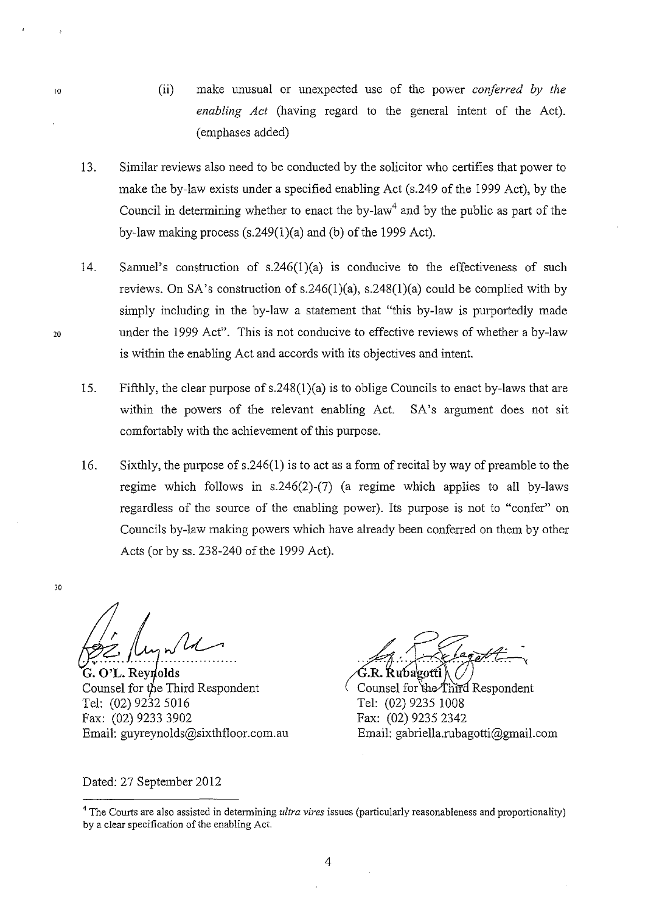- (ii) make unusual or unexpected use of the power *conferred by the enabling Act* (having regard to the general intent of the Act). (emphases added)
- 13. Similar reviews also need to be conducted by the solicitor who certifies that power to make the by-law exists under a specified enabling Act (s.249 of the 1999 Act), by the Council in determining whether to enact the by-law<sup>4</sup> and by the public as part of the by-law making process  $(s.249(1)(a)$  and (b) of the 1999 Act).
- 14. Samuel's construction of  $s.246(1)(a)$  is conducive to the effectiveness of such reviews. On SA's construction of  $s.246(1)(a)$ ,  $s.248(1)(a)$  could be complied with by simply including in the by-law a statement that "this by-law is purportedly made under the 1999 Act". This is not conducive to effective reviews of whether a by-law is within the enabling Act and accords with its objectives and intent.
- 15. Fifthly, the clear purpose of s.248(1)(a) is to oblige Councils to enact by-laws that are within the powers of the relevant enabling Act. SA's argument does not sit comfortably with the achievement of this purpose.
- 16. Sixthly, the purpose of s.246(1) is to act as a form of recital by way of preamble to the regime which follows in s.246(2)-(7) (a regime which applies to all by-laws regardless of the source of the enabling power). Its purpose is not to "confer" on Councils by-law making powers which have already been conferred on them by other Acts (or by ss. 238-240 of the 1999 Act).

Ce Myn11

G. O'L. Reynolds Counsel for the Third Respondent Tel: (02) 9232 5016 Fax: (02) 9233 3902 Email: guyreynolds@sixthfloor.com.au

 $~G.R.$  Rubagotti $\left\langle \bigvee\right\rangle$  Counsel for the Third Respondent Tel: (02) 9235 1008 Fax: (02) 9235 2342 Email: gabriella.rubagotti@gmail.com

Dated: 27 September 2012

20

30

<sup>4</sup>**The Courts are also assisted in determining** *ultra vires* **issues (particularly reasonableness and proportionality)**  by a clear specification of the enabling Act.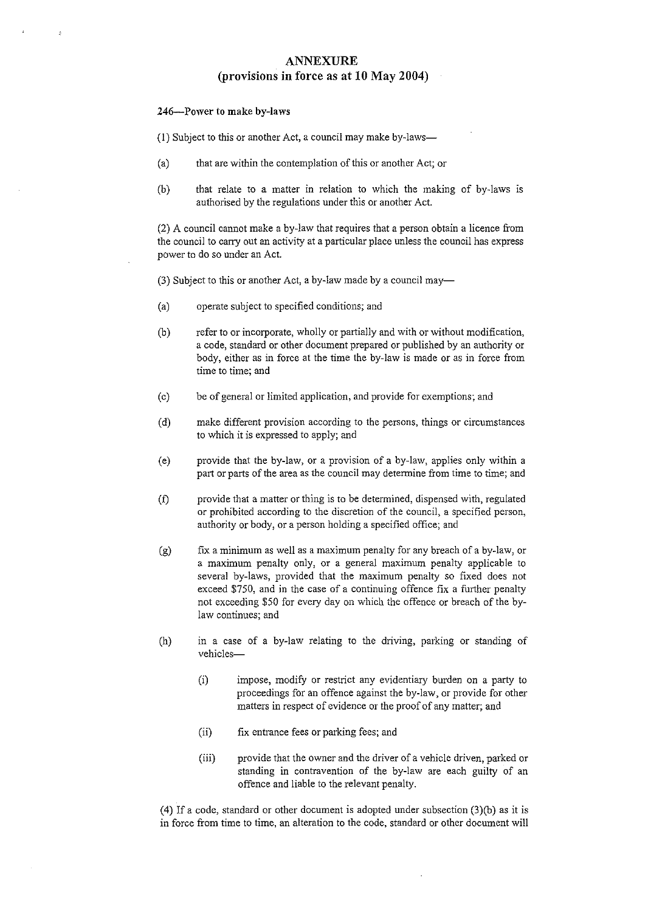### ANNEXURE (provisions in force as at 10 May 2004)

#### 246-Power to make by-laws

(1) Subject to this or another Act, a council may make by-laws-

- (a) that are within the contemplation of this or another Act; or
- (b) that relate to a matter in relation to which the making of by-laws 1s authorised by the regulations under this or another Act.

(2) A council cannot make a by-law that requires that a person obtain a licence from the council to carry out an activity at a particular place unless the council has express power to do so under an Act.

 $(3)$  Subject to this or another Act, a by-law made by a council may-

- (a) operate subject to specified conditions; and
- (b) refer to or incorporate, wholly or partially and with or without modification, a code, standard or other document prepared or published by an authority or body, either as in force at the time the by-law is made or as in force from time to time; and
- (c) be of general or limited application, and provide for exemptions; and
- (d) make different provision according to the persons, things or circumstances to which it is expressed to apply; and
- (e) provide that the by-law, or a provision of a by-law, applies only within a part or parts of the area as the council may determine from time to time; and
- (f) provide that a matter or thing is to be determined, dispensed with, regulated or prohibited according to the discretion of the council, a specified person, authority or body, or a person holding a specified office; and
- (g) fix a minimum as well as a maximum penalty for any breach of a by-law, or a maximum penalty only, or a general maximum penalty applicable to several by-laws, provided that the maximum penalty so fixed does not exceed \$750, and in the case of a continuing offence fix a further penalty not exceeding \$50 for every day on which the offence or breach of the bylaw continues; and
- (h) in a case of a by-law relating to the driving, parking or standing of vehicles-
	- (i) impose, modify or restrict any evidentiary burden on a party to proceedings for an offence against the by-law, or provide for other matters in respect of evidence or the proof of any matter; and
	- (ii) fix entrance fees or parking fees; and
	- (iii) provide that the owner and the driver of a vehicle driven, parked or standing in contravention of the by-law are each guilty of an offence and liable to the relevant penalty.

(4) If a code, standard or other document is adopted under subsection (3)(b) as it is in force from time to time, an alteration to the code, standard or other document will